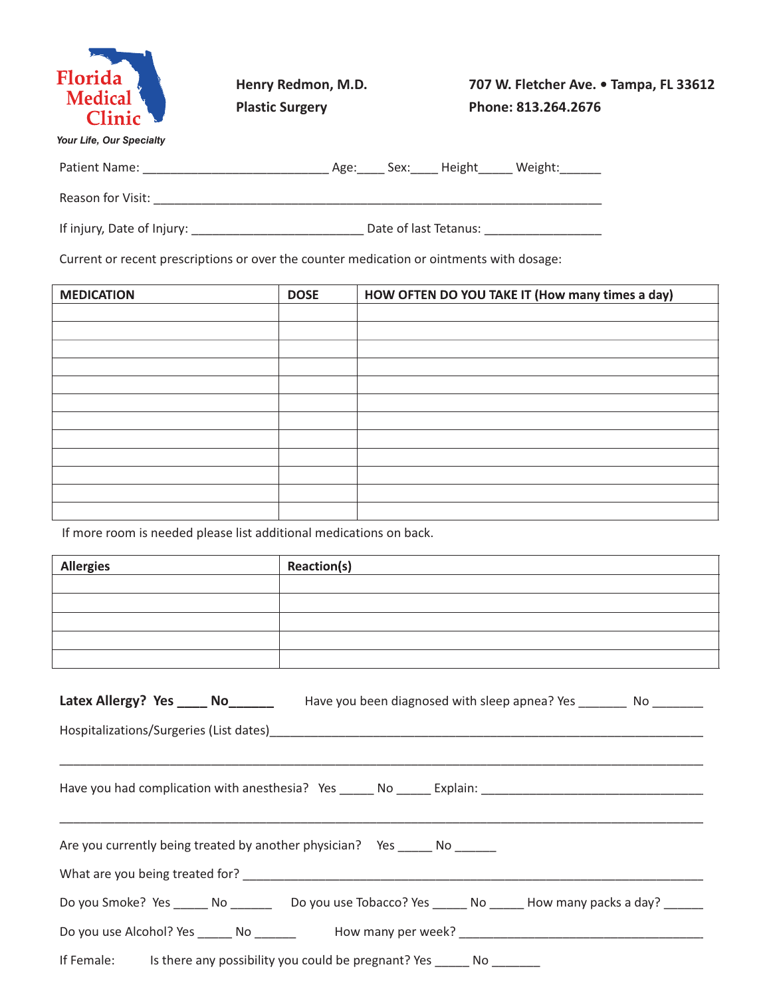

**Henry Redmon, M.D. Plastic Surgery**

**707 W. Fletcher Ave. • Tampa, FL 33612 Phone: 813.264.2676**

*Your Life, Our Specialty*

| <b>Patient Name:</b> |  | sex: | וווצואר | Weigh |
|----------------------|--|------|---------|-------|
|----------------------|--|------|---------|-------|

If injury, Date of Injury: \_\_\_\_\_\_\_\_\_\_\_\_\_\_\_\_\_\_\_\_\_\_\_\_\_ Date of last Tetanus: \_\_\_\_\_\_\_\_\_\_\_\_\_\_\_\_\_

Current or recent prescriptions or over the counter medication or ointments with dosage:

Reason for Visit: \_\_\_\_\_\_\_\_\_\_\_\_\_\_\_\_\_\_\_\_\_\_\_\_\_\_\_\_\_\_\_\_\_\_\_\_\_\_\_\_\_\_\_\_\_\_\_\_\_\_\_\_\_\_\_\_\_\_\_\_\_\_\_\_\_

| <b>MEDICATION</b> | <b>DOSE</b> | HOW OFTEN DO YOU TAKE IT (How many times a day) |
|-------------------|-------------|-------------------------------------------------|
|                   |             |                                                 |
|                   |             |                                                 |
|                   |             |                                                 |
|                   |             |                                                 |
|                   |             |                                                 |
|                   |             |                                                 |
|                   |             |                                                 |
|                   |             |                                                 |
|                   |             |                                                 |
|                   |             |                                                 |
|                   |             |                                                 |
|                   |             |                                                 |

If more room is needed please list additional medications on back.

| <b>Allergies</b> | <b>Reaction(s)</b> |
|------------------|--------------------|
|                  |                    |
|                  |                    |
|                  |                    |
|                  |                    |
|                  |                    |

| Latex Allergy? Yes _____ No____________ Have you been diagnosed with sleep apnea? Yes ________ No ________   |
|--------------------------------------------------------------------------------------------------------------|
|                                                                                                              |
|                                                                                                              |
| Are you currently being treated by another physician? Yes _______ No _______                                 |
|                                                                                                              |
| Do you Smoke? Yes ______ No __________ Do you use Tobacco? Yes ______ No ______ How many packs a day? ______ |
|                                                                                                              |
| If Female: Is there any possibility you could be pregnant? Yes ______ No _______                             |